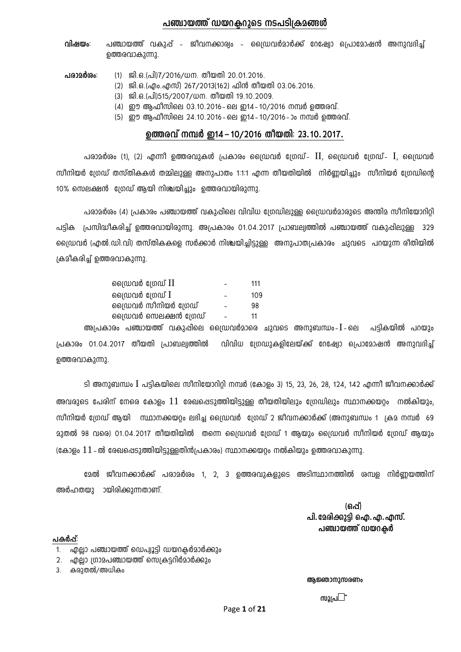### പഞ്ചായത്ത് ഡയറകറാടെ നടപടിക്രമങ്ങൾ

**വിഷയം**: പഞ്ചായത്ത് വകുപ്പ് - ജീവനക്കാര്വം - ഡ്രൈവർമാർക്ക് റേഷ്യോ പ്രൊമോഷൻ അനുവദിച്ച് ഉത്തരവാകുന്നു.

**പരാമർശം**: (1) ജി.ഒ.(പി)7/2016/ധന. തീയതി 20.01.2016.

- $(2)$  ജി.ഒ.(എം.എസ്) 267/2013(162) ഫിൻ തീയതി 03.06.2016.
- (3) ജി.ഒ.(പി)515/2007/ധന. തീയതി 19.10.2009.
- $(4)$  ഈ അഫീസിലെ 03.10.2016 ലെ ഇ14 10/2016 നമ്പർ ത്തെരവ്.
- (5) ഈ ആഫീസിലെ 24.10.2016 ലെ ഇ14 10/2016 ാം നമ്പർ ഉത്തരവ്.

## $\boldsymbol{\omega}$  **മത്തരവ് നമ്പർ ഇ14 – 10/2016 തീയതി**: 23.10.2017.

പരാമർശം (1), (2) എന്നീ ഉത്തരവുകൾ പ്രകാരം ഡ്രൈവർ ഗ്രേഡ്-  $\,$ II, ഡ്രൈവർ ഗ്രേഡ്-  $\,$ I, ഡ്രൈവർ mീനിയർ ഗ്രേഡ് തസ്തികകൾ തമ്മിലുള്ള അനുപാതം 1:1:1 എന്ന തീയതിയിൽ നിർണ്ണയിച്ചും സീനിയർ ഗ്രേഡിന്റെ  $10\%$  സെലക്ഷൻ ശ്രേഡ് ആയി നിശ്ചയിച്ചും ഉത്തരവായിരുന്നു.

പരാമർശം (4) പ്രകാരം പഞ്ചായത്ത് വകുഷിലെ വിവിധ ശ്രേഡിലുള്ള ഡ്രൈവർമാരുടെ അന്തിമ സീനിയോറിറ്റി പട്ടിക പ്രസിദ്ധീകരിച്ച് ഉത്തരവായിരുന്നു. അപ്രകാരം 01.04.2017 പ്രാബല്വത്തിൽ പഞ്ചായത്ത് വകുഷിലുള്ള 329 ്വൈഡവർ (എൽ.ഡി.വി) തസ്തികകളെ സർക്കാർ നിശ്ചയിച്ചിട്ടുള്ള അനുപാത്വപകാരം ചുവടെ പറയുന്ന രീതിയിൽ  $I$ കമീകരിച്ച് ഉത്തരവാകുന്നു.

| പ്രൈവർ ഗ്രേഡ് $\rm II$ | 111             |
|------------------------|-----------------|
| ലൈഡവർ ശ്രേഡ് $\rm I$   | 10 <sup>o</sup> |
| ഡ്രൈവർ സീനിയർ ഗ്രേഡ്   | 98              |
| ്രൈവർ സെലക്ഷൻ ശ്രേഡ്   | 11              |
|                        |                 |

അപ്രകാരം പഞ്ചായത്ത് വകുപ്പിലെ ഡ്രൈവർമാരെ ചുവടെ അനുബന്ധം-I-ലെ പട്ടികയിൽ പറയും  $|$ പകാരം 01.04.2017 തീയതി പ്രാബല്വത്തിൽ വിവിധ ശ്രേഡുകളിലേയ്ക്ക് റേഷ്വോ പ്രൊമോഷൻ അനുവദിച് ഉത്തരവാകുന്നു.

ടി അനുബന്ധം I പട്ടികയിലെ സീനിയോറിറ്റി നമ്പർ (കോളം 3) 15, 23, 26, 28, 124, 142 എന്നീ ജീവനക്കാർക്ക്  $\alpha$ ങവരുടെ പേരിന് നേരെ കോളം  $11$  രേഖപ്പെടുത്തിയിട്ടുള്ള തീയതിയിലും ഗ്രേഡിലും സ്ഥാനക്കയറ്റം നൽകിയും, സീനിയർ ഗ്രേഡ് ആയി സ്ഥാനക്കയറ്റം ലഭിച്ച ഡ്രൈവർ ഗ്രേഡ് 2 ജീവനക്കാർക്ക് (അനുബന്ധം 1 ക്രമ നമ്പർ 69  $23$ തൽ 98 വരെ) 01.04.2017 തീയതിയിൽ തന്നെ ഡ്രൈവർ ശ്രേഡ് 1 ആയും ഡ്രൈവർ സീനിയർ ശ്രേഡ് ആയും (കോളം  $11$  - ൽ രേഖപ്പെടുത്തിയിട്ടുള്ളതിൻപ്രകാരം) സ്ഥാനക്കയറ്റം നൽകിയും ഉത്തരവാകുന്നു.

ഭമൽ ജീവനക്കാർക്ക് പരാമർശം 1, 2, 3 ഉത്തരവുകളുടെ അടിസ്ഥാനത്തിൽ ശമ്പള നിർണ്ണയത്തിന് അർഹതയു ായിരിക്കുന്നതാണ്.

 **(H¸v)** പി. **മേരിക്കുട്ടി** ഐ. എ. എസ്. പഞ്ചായത്ത് ഡയറകർ

#### പകർഷ്:

- 1. എലാ പഞ്ചായത്ത് ഡെപ്വൂട്ടി ഡയറകർമാർക്കും
- 2. എല്ലാ ത്രാമപഞ്ചായത്ത് സെക്രട്ടറിർമാർക്കും
- 3. കരാതൽ/അധികം

#### **ആ**ജ്ഞാനുസരണം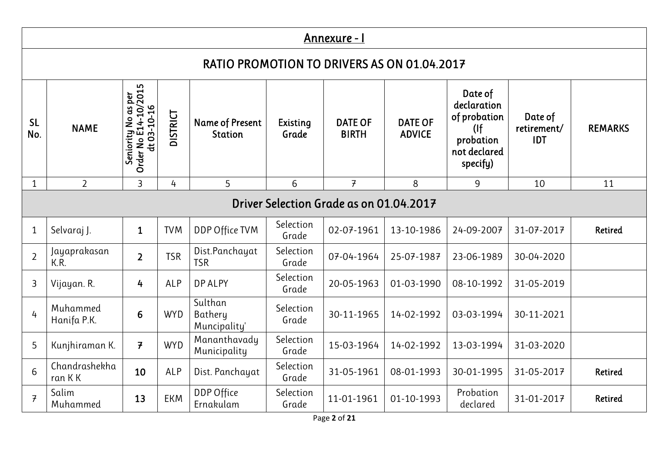|                  | Annexure - I                                |                                                            |            |                                          |                          |                                         |                                 |                                                                                      |                                      |                |  |  |  |
|------------------|---------------------------------------------|------------------------------------------------------------|------------|------------------------------------------|--------------------------|-----------------------------------------|---------------------------------|--------------------------------------------------------------------------------------|--------------------------------------|----------------|--|--|--|
|                  | RATIO PROMOTION TO DRIVERS AS ON 01.04.2017 |                                                            |            |                                          |                          |                                         |                                 |                                                                                      |                                      |                |  |  |  |
| <b>SL</b><br>No. | <b>NAME</b>                                 | Seniority No as per<br>Order No E14-10/2015<br>dt 03-10-16 | DISTRICT   | <b>Name of Present</b><br><b>Station</b> | <b>Existing</b><br>Grade | <b>DATE OF</b><br><b>BIRTH</b>          | <b>DATE OF</b><br><b>ADVICE</b> | Date of<br>declaration<br>of probation<br>(<br>probation<br>not declared<br>specify) | Date of<br>retirement/<br><b>IDT</b> | <b>REMARKS</b> |  |  |  |
| $\mathbf{1}$     | $\overline{2}$                              | 3                                                          | 4          | 5                                        | $6\phantom{1}$           | $\overline{f}$                          | 8                               | 9                                                                                    | 10                                   | 11             |  |  |  |
|                  |                                             |                                                            |            |                                          |                          | Driver Selection Grade as on 01.04.2017 |                                 |                                                                                      |                                      |                |  |  |  |
| $\mathbf 1$      | Selvaraj J.                                 | $\mathbf{1}$                                               | <b>TVM</b> | DDP Office TVM                           | Selection<br>Grade       | 02-07-1961                              | 13-10-1986                      | 24-09-2007                                                                           | 31-07-2017                           | Retired        |  |  |  |
| $\overline{2}$   | Jayaprakasan<br>K.R.                        | $\overline{2}$                                             | <b>TSR</b> | Dist.Panchayat<br><b>TSR</b>             | Selection<br>Grade       | 07-04-1964                              | 25-07-1987                      | 23-06-1989                                                                           | 30-04-2020                           |                |  |  |  |
| 3                | Vijayan. R.                                 | 4                                                          | <b>ALP</b> | <b>DP ALPY</b>                           | Selection<br>Grade       | 20-05-1963                              | 01-03-1990                      | 08-10-1992                                                                           | 31-05-2019                           |                |  |  |  |
| $\overline{4}$   | Muhammed<br>Hanifa P.K.                     | 6                                                          | <b>WYD</b> | Sulthan<br>Bathery<br>Muncipality'       | Selection<br>Grade       | 30-11-1965                              | 14-02-1992                      | 03-03-1994                                                                           | 30-11-2021                           |                |  |  |  |
| 5                | Kunjhiraman K.                              | $\overline{f}$                                             | <b>WYD</b> | Mananthavady<br>Municipality             | Selection<br>Grade       | 15-03-1964                              | 14-02-1992                      | 13-03-1994                                                                           | 31-03-2020                           |                |  |  |  |
| 6                | Chandrashekha<br>ran K K                    | 10                                                         | <b>ALP</b> | Dist. Panchayat                          | Selection<br>Grade       | 31-05-1961                              | 08-01-1993                      | 30-01-1995                                                                           | 31-05-2017                           | Retired        |  |  |  |
| $\overline{f}$   | Salim<br>Muhammed                           | 13                                                         | <b>EKM</b> | <b>DDP Office</b><br>Ernakulam           | Selection<br>Grade       | 11-01-1961                              | 01-10-1993                      | Probation<br>declared                                                                | 31-01-2017                           | Retired        |  |  |  |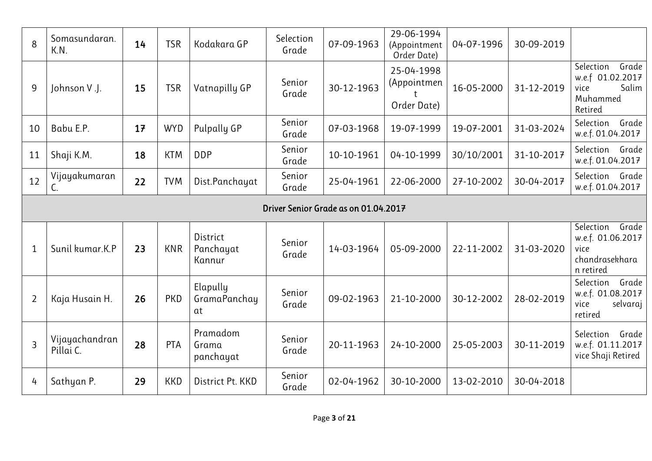| 8              | Somasundaran.<br>K.N.       | 14 | <b>TSR</b> | Kodakara GP                     | Selection<br>Grade | 07-09-1963                           | 29-06-1994<br>(Appointment<br>Order Date) | 04-07-1996 | 30-09-2019 |                                                                                |
|----------------|-----------------------------|----|------------|---------------------------------|--------------------|--------------------------------------|-------------------------------------------|------------|------------|--------------------------------------------------------------------------------|
| 9              | Johnson V.J.                | 15 | <b>TSR</b> | Vatnapilly GP                   | Senior<br>Grade    | 30-12-1963                           | 25-04-1998<br>(Appointmen<br>Order Date)  | 16-05-2000 | 31-12-2019 | Selection<br>Grade<br>w.e.f 01.02.2017<br>Salim<br>vice<br>Muhammed<br>Retired |
| 10             | Babu E.P.                   | 17 | <b>WYD</b> | Pulpally GP                     | Senior<br>Grade    | 07-03-1968                           | 19-07-1999                                | 19-07-2001 | 31-03-2024 | Selection<br>Grade<br>w.e.f. 01.04.2017                                        |
| 11             | Shaji K.M.                  | 18 | <b>KTM</b> | <b>DDP</b>                      | Senior<br>Grade    | 10-10-1961                           | 04-10-1999                                | 30/10/2001 | 31-10-2017 | Selection Grade<br>w.e.f. 01.04.2017                                           |
| 12             | Vijayakumaran<br>C.         | 22 | <b>TVM</b> | Dist.Panchayat                  | Senior<br>Grade    | 25-04-1961                           | 22-06-2000                                | 27-10-2002 | 30-04-2017 | Selection Grade<br>w.e.f. 01.04.2017                                           |
|                |                             |    |            |                                 |                    | Driver Senior Grade as on 01.04.2017 |                                           |            |            |                                                                                |
| $\mathbf{1}$   | Sunil kumar.K.P             | 23 | <b>KNR</b> | District<br>Panchayat<br>Kannur | Senior<br>Grade    | 14-03-1964                           | 05-09-2000                                | 22-11-2002 | 31-03-2020 | Selection<br>Grade<br>w.e.f. 01.06.2017<br>vice<br>chandrasekhara<br>n retired |
| $\overline{2}$ | Kaja Husain H.              | 26 | PKD        | Elapully<br>GramaPanchay<br>at  | Senior<br>Grade    | 09-02-1963                           | 21-10-2000                                | 30-12-2002 | 28-02-2019 | Grade<br>Selection<br>w.e.f. 01.08.2017<br>vice<br>selvaraj<br>retired         |
| $\overline{3}$ | Vijayachandran<br>Pillai C. | 28 | PTA        | Pramadom<br>Grama<br>panchayat  | Senior<br>Grade    | 20-11-1963                           | 24-10-2000                                | 25-05-2003 | 30-11-2019 | Selection<br>Grade<br>w.e.f. 01.11.2017<br>vice Shaji Retired                  |
| 4              | Sathyan P.                  | 29 | <b>KKD</b> | District Pt. KKD                | Senior<br>Grade    | 02-04-1962                           | 30-10-2000                                | 13-02-2010 | 30-04-2018 |                                                                                |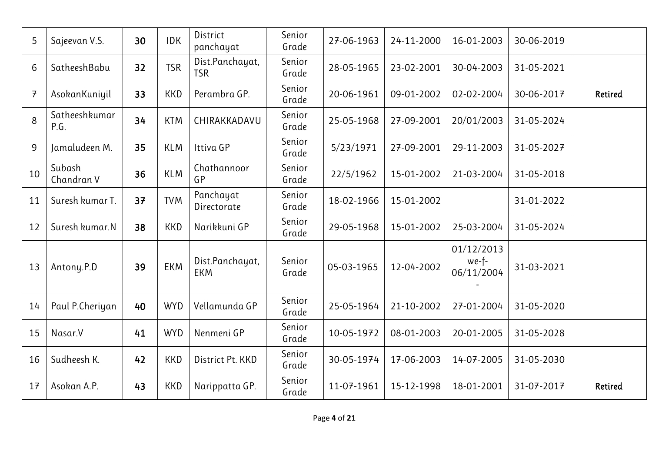| 5              | Sajeevan V.S.         | 30 | <b>IDK</b> | District<br>panchayat         | Senior<br>Grade | 27-06-1963 | 24-11-2000 | 16-01-2003                        | 30-06-2019 |                |
|----------------|-----------------------|----|------------|-------------------------------|-----------------|------------|------------|-----------------------------------|------------|----------------|
| 6              | SatheeshBabu          | 32 | <b>TSR</b> | Dist.Panchayat,<br><b>TSR</b> | Senior<br>Grade | 28-05-1965 | 23-02-2001 | 30-04-2003                        | 31-05-2021 |                |
| $\overline{7}$ | AsokanKuniyil         | 33 | <b>KKD</b> | Perambra GP.                  | Senior<br>Grade | 20-06-1961 | 09-01-2002 | 02-02-2004                        | 30-06-2017 | <b>Retired</b> |
| 8              | Satheeshkumar<br>P.G. | 34 | <b>KTM</b> | CHIRAKKADAVU                  | Senior<br>Grade | 25-05-1968 | 27-09-2001 | 20/01/2003                        | 31-05-2024 |                |
| 9              | Jamaludeen M.         | 35 | <b>KLM</b> | Ittiva GP                     | Senior<br>Grade | 5/23/1971  | 27-09-2001 | 29-11-2003                        | 31-05-2027 |                |
| 10             | Subash<br>Chandran V  | 36 | <b>KLM</b> | Chathannoor<br>GP             | Senior<br>Grade | 22/5/1962  | 15-01-2002 | 21-03-2004                        | 31-05-2018 |                |
| 11             | Suresh kumar T.       | 37 | <b>TVM</b> | Panchayat<br>Directorate      | Senior<br>Grade | 18-02-1966 | 15-01-2002 |                                   | 31-01-2022 |                |
| 12             | Suresh kumar.N        | 38 | <b>KKD</b> | Narikkuni GP                  | Senior<br>Grade | 29-05-1968 | 15-01-2002 | 25-03-2004                        | 31-05-2024 |                |
| 13             | Antony.P.D            | 39 | <b>EKM</b> | Dist.Panchayat,<br><b>EKM</b> | Senior<br>Grade | 05-03-1965 | 12-04-2002 | 01/12/2013<br>we-f-<br>06/11/2004 | 31-03-2021 |                |
| 14             | Paul P.Cheriyan       | 40 | <b>WYD</b> | Vellamunda GP                 | Senior<br>Grade | 25-05-1964 | 21-10-2002 | 27-01-2004                        | 31-05-2020 |                |
| 15             | Nasar.V               | 41 | <b>WYD</b> | Nenmeni GP                    | Senior<br>Grade | 10-05-1972 | 08-01-2003 | 20-01-2005                        | 31-05-2028 |                |
| 16             | Sudheesh K.           | 42 | <b>KKD</b> | District Pt. KKD              | Senior<br>Grade | 30-05-1974 | 17-06-2003 | 14-07-2005                        | 31-05-2030 |                |
| 17             | Asokan A.P.           | 43 | <b>KKD</b> | Narippatta GP.                | Senior<br>Grade | 11-07-1961 | 15-12-1998 | 18-01-2001                        | 31-07-2017 | Retired        |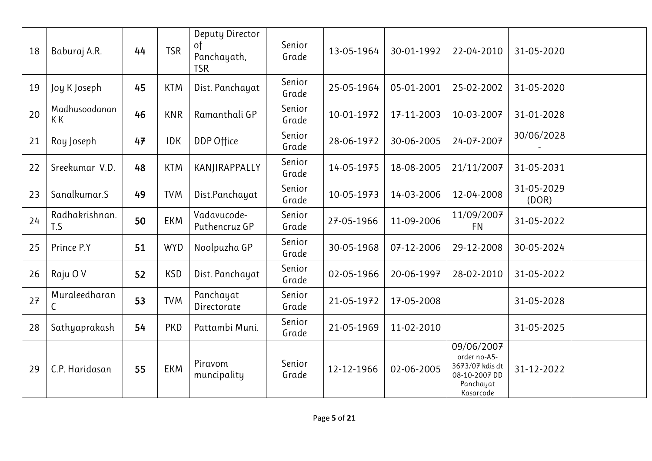| 18 | Baburaj A.R.          | 44 | <b>TSR</b> | Deputy Director<br>of<br>Panchayath,<br><b>TSR</b> | Senior<br>Grade | 13-05-1964 | 30-01-1992 | 22-04-2010                                                                               | 31-05-2020          |  |
|----|-----------------------|----|------------|----------------------------------------------------|-----------------|------------|------------|------------------------------------------------------------------------------------------|---------------------|--|
| 19 | Joy K Joseph          | 45 | <b>KTM</b> | Dist. Panchayat                                    | Senior<br>Grade | 25-05-1964 | 05-01-2001 | 25-02-2002                                                                               | 31-05-2020          |  |
| 20 | Madhusoodanan<br>K K  | 46 | <b>KNR</b> | Ramanthali GP                                      | Senior<br>Grade | 10-01-1972 | 17-11-2003 | 10-03-2007                                                                               | 31-01-2028          |  |
| 21 | Roy Joseph            | 47 | <b>IDK</b> | DDP Office                                         | Senior<br>Grade | 28-06-1972 | 30-06-2005 | 24-07-2007                                                                               | 30/06/2028          |  |
| 22 | Sreekumar V.D.        | 48 | <b>KTM</b> | KANJIRAPPALLY                                      | Senior<br>Grade | 14-05-1975 | 18-08-2005 | 21/11/2007                                                                               | 31-05-2031          |  |
| 23 | Sanalkumar.S          | 49 | <b>TVM</b> | Dist.Panchayat                                     | Senior<br>Grade | 10-05-1973 | 14-03-2006 | 12-04-2008                                                                               | 31-05-2029<br>(DOR) |  |
| 24 | Radhakrishnan.<br>T.S | 50 | <b>EKM</b> | Vadavucode-<br>Puthencruz GP                       | Senior<br>Grade | 27-05-1966 | 11-09-2006 | 11/09/2007<br><b>FN</b>                                                                  | 31-05-2022          |  |
| 25 | Prince P.Y            | 51 | <b>WYD</b> | Noolpuzha GP                                       | Senior<br>Grade | 30-05-1968 | 07-12-2006 | 29-12-2008                                                                               | 30-05-2024          |  |
| 26 | Raju OV               | 52 | <b>KSD</b> | Dist. Panchayat                                    | Senior<br>Grade | 02-05-1966 | 20-06-1997 | 28-02-2010                                                                               | 31-05-2022          |  |
| 27 | Muraleedharan<br>С    | 53 | <b>TVM</b> | Panchayat<br>Directorate                           | Senior<br>Grade | 21-05-1972 | 17-05-2008 |                                                                                          | 31-05-2028          |  |
| 28 | Sathyaprakash         | 54 | <b>PKD</b> | Pattambi Muni.                                     | Senior<br>Grade | 21-05-1969 | 11-02-2010 |                                                                                          | 31-05-2025          |  |
| 29 | C.P. Haridasan        | 55 | <b>EKM</b> | Piravom<br>muncipality                             | Senior<br>Grade | 12-12-1966 | 02-06-2005 | 09/06/2007<br>order no-A5-<br>3673/07 kdis dt<br>08-10-2007 DD<br>Panchayat<br>Kasarcode | 31-12-2022          |  |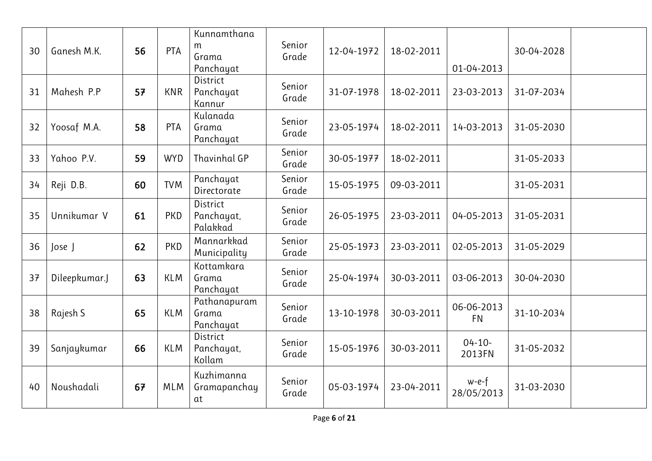| 30 | Ganesh M.K.   | 56 | PTA        | Kunnamthana<br>m<br>Grama<br>Panchayat    | Senior<br>Grade | 12-04-1972 | 18-02-2011 | 01-04-2013              | 30-04-2028 |  |
|----|---------------|----|------------|-------------------------------------------|-----------------|------------|------------|-------------------------|------------|--|
| 31 | Mahesh P.P    | 57 | <b>KNR</b> | District<br>Panchayat<br>Kannur           | Senior<br>Grade | 31-07-1978 | 18-02-2011 | 23-03-2013              | 31-07-2034 |  |
| 32 | Yoosaf M.A.   | 58 | <b>PTA</b> | Kulanada<br>Grama<br>Panchayat            | Senior<br>Grade | 23-05-1974 | 18-02-2011 | 14-03-2013              | 31-05-2030 |  |
| 33 | Yahoo P.V.    | 59 | <b>WYD</b> | Thavinhal GP                              | Senior<br>Grade | 30-05-1977 | 18-02-2011 |                         | 31-05-2033 |  |
| 34 | Reji D.B.     | 60 | <b>TVM</b> | Panchayat<br>Directorate                  | Senior<br>Grade | 15-05-1975 | 09-03-2011 |                         | 31-05-2031 |  |
| 35 | Unnikumar V   | 61 | <b>PKD</b> | <b>District</b><br>Panchayat,<br>Palakkad | Senior<br>Grade | 26-05-1975 | 23-03-2011 | 04-05-2013              | 31-05-2031 |  |
| 36 | Jose J        | 62 | <b>PKD</b> | Mannarkkad<br>Municipality                | Senior<br>Grade | 25-05-1973 | 23-03-2011 | 02-05-2013              | 31-05-2029 |  |
| 37 | Dileepkumar.J | 63 | <b>KLM</b> | Kottamkara<br>Grama<br>Panchayat          | Senior<br>Grade | 25-04-1974 | 30-03-2011 | 03-06-2013              | 30-04-2030 |  |
| 38 | Rajesh S      | 65 | <b>KLM</b> | Pathanapuram<br>Grama<br>Panchayat        | Senior<br>Grade | 13-10-1978 | 30-03-2011 | 06-06-2013<br><b>FN</b> | 31-10-2034 |  |
| 39 | Sanjaykumar   | 66 | <b>KLM</b> | <b>District</b><br>Panchayat,<br>Kollam   | Senior<br>Grade | 15-05-1976 | 30-03-2011 | $04 - 10 -$<br>2013FN   | 31-05-2032 |  |
| 40 | Noushadali    | 67 | <b>MLM</b> | Kuzhimanna<br>Gramapanchay<br>αt          | Senior<br>Grade | 05-03-1974 | 23-04-2011 | w-e-f<br>28/05/2013     | 31-03-2030 |  |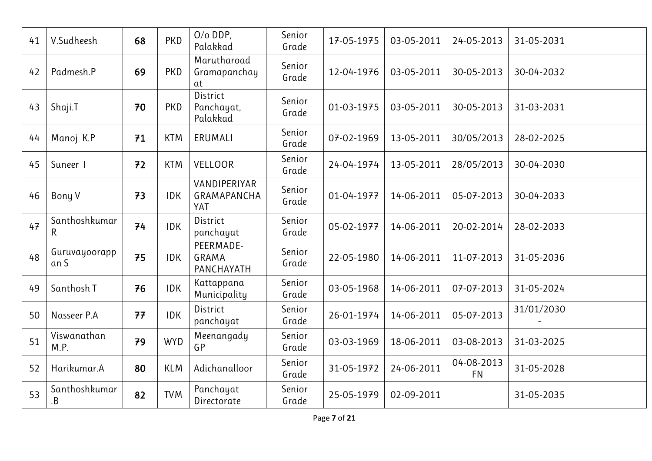| 41 | V.Sudheesh            | 68 | PKD        | $O/O$ DDP,<br>Palakkad                  | Senior<br>Grade | 17-05-1975 | 03-05-2011 | 24-05-2013              | 31-05-2031 |  |
|----|-----------------------|----|------------|-----------------------------------------|-----------------|------------|------------|-------------------------|------------|--|
| 42 | Padmesh.P             | 69 | PKD        | Marutharoad<br>Gramapanchay<br>at       | Senior<br>Grade | 12-04-1976 | 03-05-2011 | 30-05-2013              | 30-04-2032 |  |
| 43 | Shaji.T               | 70 | <b>PKD</b> | District<br>Panchayat,<br>Palakkad      | Senior<br>Grade | 01-03-1975 | 03-05-2011 | 30-05-2013              | 31-03-2031 |  |
| 44 | Manoj K.P             | 71 | <b>KTM</b> | ERUMALI                                 | Senior<br>Grade | 07-02-1969 | 13-05-2011 | 30/05/2013              | 28-02-2025 |  |
| 45 | Suneer I              | 72 | <b>KTM</b> | <b>VELLOOR</b>                          | Senior<br>Grade | 24-04-1974 | 13-05-2011 | 28/05/2013              | 30-04-2030 |  |
| 46 | Bony V                | 73 | <b>IDK</b> | VANDIPERIYAR<br>GRAMAPANCHA<br>YAT      | Senior<br>Grade | 01-04-1977 | 14-06-2011 | 05-07-2013              | 30-04-2033 |  |
| 47 | Santhoshkumar<br>R.   | 74 | <b>IDK</b> | District<br>panchayat                   | Senior<br>Grade | 05-02-1977 | 14-06-2011 | 20-02-2014              | 28-02-2033 |  |
| 48 | Guruvayoorapp<br>an S | 75 | <b>IDK</b> | PEERMADE-<br><b>GRAMA</b><br>PANCHAYATH | Senior<br>Grade | 22-05-1980 | 14-06-2011 | 11-07-2013              | 31-05-2036 |  |
| 49 | Santhosh T            | 76 | <b>IDK</b> | Kattappana<br>Municipality              | Senior<br>Grade | 03-05-1968 | 14-06-2011 | 07-07-2013              | 31-05-2024 |  |
| 50 | Nasseer P.A           | 77 | <b>IDK</b> | District<br>panchayat                   | Senior<br>Grade | 26-01-1974 | 14-06-2011 | 05-07-2013              | 31/01/2030 |  |
| 51 | Viswanathan<br>M.P.   | 79 | <b>WYD</b> | Meenangady<br>GP                        | Senior<br>Grade | 03-03-1969 | 18-06-2011 | 03-08-2013              | 31-03-2025 |  |
| 52 | Harikumar.A           | 80 | <b>KLM</b> | Adichanalloor                           | Senior<br>Grade | 31-05-1972 | 24-06-2011 | 04-08-2013<br><b>FN</b> | 31-05-2028 |  |
| 53 | Santhoshkumar<br>.B   | 82 | <b>TVM</b> | Panchayat<br>Directorate                | Senior<br>Grade | 25-05-1979 | 02-09-2011 |                         | 31-05-2035 |  |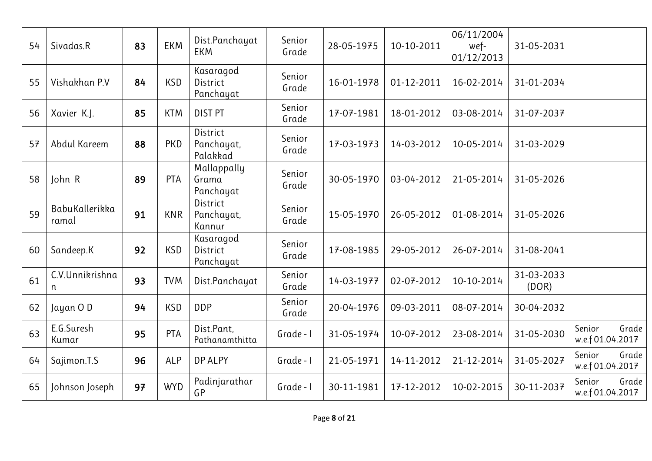| Sivadas.R               | 83 | <b>EKM</b> | Dist.Panchayat<br><b>EKM</b>              | Senior<br>Grade | 28-05-1975 | 10-10-2011 | 06/11/2004<br>wef-<br>01/12/2013 | 31-05-2031          |                                     |
|-------------------------|----|------------|-------------------------------------------|-----------------|------------|------------|----------------------------------|---------------------|-------------------------------------|
| Vishakhan P.V           | 84 | <b>KSD</b> | Kasaragod<br>District<br>Panchayat        | Senior<br>Grade | 16-01-1978 | 01-12-2011 | 16-02-2014                       | 31-01-2034          |                                     |
| Xavier K.J.             | 85 | <b>KTM</b> | <b>DIST PT</b>                            | Senior<br>Grade | 17-07-1981 | 18-01-2012 | 03-08-2014                       | 31-07-2037          |                                     |
| Abdul Kareem            | 88 | <b>PKD</b> | <b>District</b><br>Panchayat,<br>Palakkad | Senior<br>Grade | 17-03-1973 | 14-03-2012 | 10-05-2014                       | 31-03-2029          |                                     |
| John R                  | 89 | PTA        | Mallappally<br>Grama<br>Panchayat         | Senior<br>Grade | 30-05-1970 | 03-04-2012 | 21-05-2014                       | 31-05-2026          |                                     |
| BabuKallerikka<br>ramal | 91 | <b>KNR</b> | District<br>Panchayat,<br>Kannur          | Senior<br>Grade | 15-05-1970 | 26-05-2012 | 01-08-2014                       | 31-05-2026          |                                     |
| Sandeep.K               | 92 | <b>KSD</b> | Kasaragod<br>District<br>Panchayat        | Senior<br>Grade | 17-08-1985 | 29-05-2012 | 26-07-2014                       | 31-08-2041          |                                     |
| C.V.Unnikrishna<br>n    | 93 | <b>TVM</b> | Dist.Panchayat                            | Senior<br>Grade | 14-03-1977 | 02-07-2012 | 10-10-2014                       | 31-03-2033<br>(DOR) |                                     |
| Jayan OD                | 94 | <b>KSD</b> | <b>DDP</b>                                | Senior<br>Grade | 20-04-1976 | 09-03-2011 | 08-07-2014                       | 30-04-2032          |                                     |
| E.G.Suresh<br>Kumar     | 95 | <b>PTA</b> | Dist.Pant,<br>Pathanamthitta              | Grade - I       | 31-05-1974 | 10-07-2012 | 23-08-2014                       | 31-05-2030          | Grade<br>Senior<br>w.e.f 01.04.2017 |
| Sajimon.T.S             | 96 | <b>ALP</b> | <b>DP ALPY</b>                            | Grade - I       | 21-05-1971 | 14-11-2012 | 21-12-2014                       | 31-05-2027          | Grade<br>Senior<br>w.e.f 01.04.2017 |
| Johnson Joseph          | 97 | <b>WYD</b> | Padinjarathar<br>GP                       | Grade - I       | 30-11-1981 | 17-12-2012 | 10-02-2015                       | 30-11-2037          | Grade<br>Senior<br>w.e.f 01.04.2017 |
|                         |    |            |                                           |                 |            |            |                                  |                     |                                     |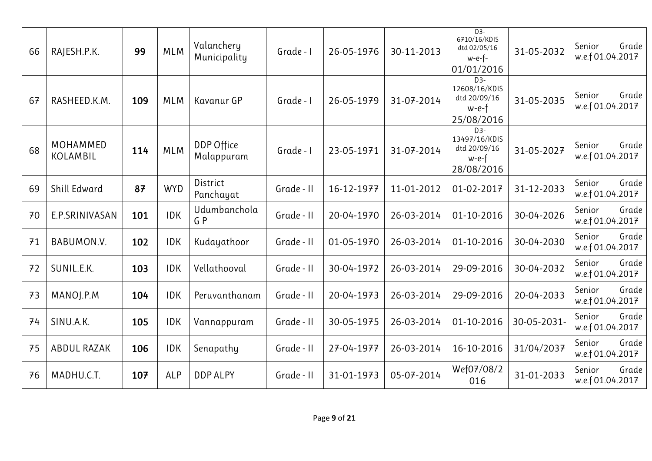| 66 | RAJESH.P.K.                 | 99  | <b>MLM</b> | Valanchery<br>Municipality | Grade - I  | 26-05-1976 | 30-11-2013 | $D3-$<br>6710/16/KDIS<br>dtd 02/05/16<br>$w-e-f-$<br>01/01/2016 | 31-05-2032  | Grade<br>Senior<br>w.e.f 01.04.2017 |
|----|-----------------------------|-----|------------|----------------------------|------------|------------|------------|-----------------------------------------------------------------|-------------|-------------------------------------|
| 67 | RASHEED.K.M.                | 109 | <b>MLM</b> | Kavanur GP                 | Grade - I  | 26-05-1979 | 31-07-2014 | $D3-$<br>12608/16/KDIS<br>dtd 20/09/16<br>w-e-f<br>25/08/2016   | 31-05-2035  | Grade<br>Senior<br>w.e.f 01.04.2017 |
| 68 | MOHAMMED<br><b>KOLAMBIL</b> | 114 | <b>MLM</b> | DDP Office<br>Malappuram   | Grade - I  | 23-05-1971 | 31-07-2014 | $D3-$<br>13497/16/KDIS<br>dtd 20/09/16<br>$w-e-f$<br>28/08/2016 | 31-05-2027  | Senior<br>Grade<br>w.e.f 01.04.2017 |
| 69 | Shill Edward                | 87  | <b>WYD</b> | District<br>Panchayat      | Grade - II | 16-12-1977 | 11-01-2012 | 01-02-2017                                                      | 31-12-2033  | Senior<br>Grade<br>w.e.f 01.04.2017 |
| 70 | E.P.SRINIVASAN              | 101 | <b>IDK</b> | Udumbanchola<br>GP         | Grade - II | 20-04-1970 | 26-03-2014 | 01-10-2016                                                      | 30-04-2026  | Senior<br>Grade<br>w.e.f 01.04.2017 |
| 71 | BABUMON.V.                  | 102 | <b>IDK</b> | Kudayathoor                | Grade - II | 01-05-1970 | 26-03-2014 | 01-10-2016                                                      | 30-04-2030  | Senior<br>Grade<br>w.e.f 01.04.2017 |
| 72 | SUNIL.E.K.                  | 103 | <b>IDK</b> | Vellathooval               | Grade - II | 30-04-1972 | 26-03-2014 | 29-09-2016                                                      | 30-04-2032  | Grade<br>Senior<br>w.e.f 01.04.2017 |
| 73 | MANOJ.P.M                   | 104 | <b>IDK</b> | Peruvanthanam              | Grade - II | 20-04-1973 | 26-03-2014 | 29-09-2016                                                      | 20-04-2033  | Senior<br>Grade<br>w.e.f 01.04.2017 |
| 74 | SINU.A.K.                   | 105 | <b>IDK</b> | Vannappuram                | Grade - II | 30-05-1975 | 26-03-2014 | 01-10-2016                                                      | 30-05-2031- | Senior<br>Grade<br>w.e.f 01.04.2017 |
| 75 | ABDUL RAZAK                 | 106 | <b>IDK</b> | Senapathy                  | Grade - II | 27-04-1977 | 26-03-2014 | 16-10-2016                                                      | 31/04/2037  | Senior<br>Grade<br>w.e.f 01.04.2017 |
| 76 | MADHU.C.T.                  | 107 | ALP        | <b>DDP ALPY</b>            | Grade - II | 31-01-1973 | 05-07-2014 | Wef07/08/2<br>016                                               | 31-01-2033  | Grade<br>Senior<br>w.e.f 01.04.2017 |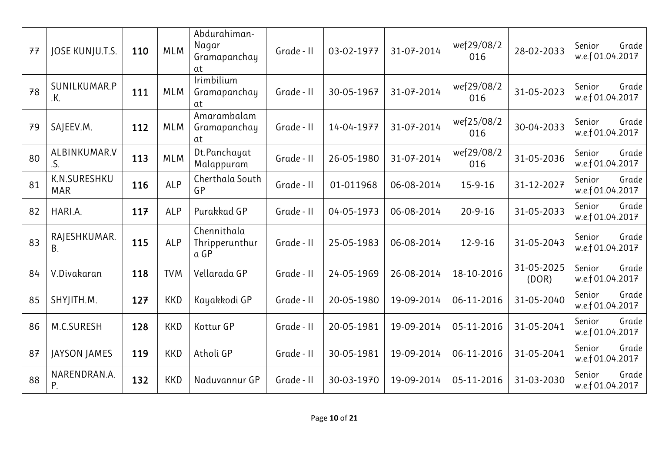| 77 | JOSE KUNJU.T.S.            | 110 | <b>MLM</b> | Abdurahiman-<br>Nagar<br>Gramapanchay<br>at | Grade - II | 03-02-1977 | 31-07-2014 | wef29/08/2<br>016 | 28-02-2033          | Senior<br>Grade<br>w.e.f 01.04.2017 |
|----|----------------------------|-----|------------|---------------------------------------------|------------|------------|------------|-------------------|---------------------|-------------------------------------|
| 78 | SUNILKUMAR.P<br>.K.        | 111 | <b>MLM</b> | Irimbilium<br>Gramapanchay<br>at            | Grade - II | 30-05-1967 | 31-07-2014 | wef29/08/2<br>016 | 31-05-2023          | Senior<br>Grade<br>w.e.f 01.04.2017 |
| 79 | SAJEEV.M.                  | 112 | <b>MLM</b> | Amarambalam<br>Gramapanchay<br>at           | Grade - II | 14-04-1977 | 31-07-2014 | wef25/08/2<br>016 | 30-04-2033          | Senior<br>Grade<br>w.e.f 01.04.2017 |
| 80 | ALBINKUMAR.V<br>.S.        | 113 | <b>MLM</b> | Dt.Panchayat<br>Malappuram                  | Grade - II | 26-05-1980 | 31-07-2014 | wef29/08/2<br>016 | 31-05-2036          | Senior<br>Grade<br>w.e.f 01.04.2017 |
| 81 | K.N.SURESHKU<br><b>MAR</b> | 116 | <b>ALP</b> | Cherthala South<br>GP                       | Grade - II | 01-011968  | 06-08-2014 | 15-9-16           | 31-12-2027          | Senior<br>Grade<br>w.e.f 01.04.2017 |
| 82 | HARI.A.                    | 117 | ALP        | Purakkad GP                                 | Grade - II | 04-05-1973 | 06-08-2014 | $20 - 9 - 16$     | 31-05-2033          | Senior<br>Grade<br>w.e.f 01.04.2017 |
| 83 | RAJESHKUMAR.<br>В.         | 115 | ALP        | Chennithala<br>Thripperunthur<br>a GP       | Grade - II | 25-05-1983 | 06-08-2014 | $12 - 9 - 16$     | 31-05-2043          | Senior<br>Grade<br>w.e.f 01.04.2017 |
| 84 | V.Divakaran                | 118 | <b>TVM</b> | Vellarada GP                                | Grade - II | 24-05-1969 | 26-08-2014 | 18-10-2016        | 31-05-2025<br>(DOR) | Senior<br>Grade<br>w.e.f 01.04.2017 |
| 85 | SHYJITH.M.                 | 127 | <b>KKD</b> | Kayakkodi GP                                | Grade - II | 20-05-1980 | 19-09-2014 | 06-11-2016        | 31-05-2040          | Senior<br>Grade<br>w.e.f 01.04.2017 |
| 86 | M.C.SURESH                 | 128 | <b>KKD</b> | Kottur GP                                   | Grade - II | 20-05-1981 | 19-09-2014 | 05-11-2016        | 31-05-2041          | Senior<br>Grade<br>w.e.f 01.04.2017 |
| 87 | <b>JAYSON JAMES</b>        | 119 | <b>KKD</b> | Atholi GP                                   | Grade - II | 30-05-1981 | 19-09-2014 | 06-11-2016        | 31-05-2041          | Senior<br>Grade<br>w.e.f 01.04.2017 |
| 88 | NARENDRAN.A.<br>P.         | 132 | <b>KKD</b> | Naduvannur GP                               | Grade - II | 30-03-1970 | 19-09-2014 | 05-11-2016        | 31-03-2030          | Senior<br>Grade<br>w.e.f 01.04.2017 |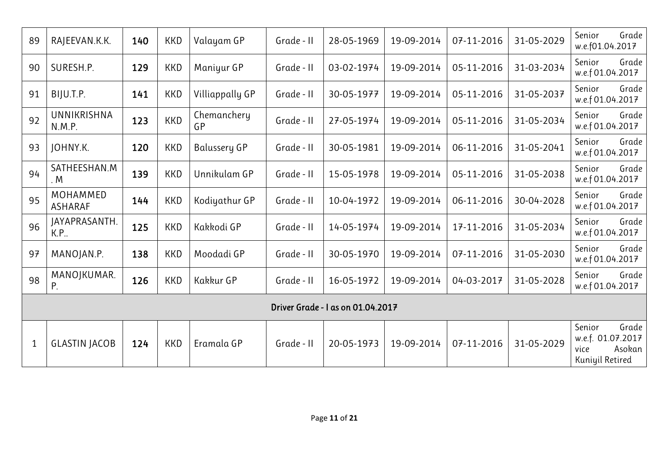| 89          | RAJEEVAN.K.K.              | 140 | <b>KKD</b> | Valayam GP        | Grade - II | 28-05-1969                        | 19-09-2014 | 07-11-2016 | 31-05-2029 | Grade<br>Senior<br>w.e.f01.04.2017                                        |
|-------------|----------------------------|-----|------------|-------------------|------------|-----------------------------------|------------|------------|------------|---------------------------------------------------------------------------|
| 90          | SURESH.P.                  | 129 | <b>KKD</b> | Maniyur GP        | Grade - II | 03-02-1974                        | 19-09-2014 | 05-11-2016 | 31-03-2034 | Senior<br>Grade<br>w.e.f 01.04.2017                                       |
| 91          | BIJU.T.P.                  | 141 | KKD        | Villiappally GP   | Grade - II | 30-05-1977                        | 19-09-2014 | 05-11-2016 | 31-05-2037 | Senior<br>Grade<br>w.e.f 01.04.2017                                       |
| 92          | UNNIKRISHNA<br>N.M.P.      | 123 | <b>KKD</b> | Chemanchery<br>GP | Grade - II | 27-05-1974                        | 19-09-2014 | 05-11-2016 | 31-05-2034 | Senior<br>Grade<br>w.e.f 01.04.2017                                       |
| 93          | JOHNY.K.                   | 120 | <b>KKD</b> | Balussery GP      | Grade - II | 30-05-1981                        | 19-09-2014 | 06-11-2016 | 31-05-2041 | Senior<br>Grade<br>w.e.f 01.04.2017                                       |
| 94          | SATHEESHAN.M<br>. M        | 139 | <b>KKD</b> | Unnikulam GP      | Grade - II | 15-05-1978                        | 19-09-2014 | 05-11-2016 | 31-05-2038 | Senior<br>Grade<br>w.e.f 01.04.2017                                       |
| 95          | MOHAMMED<br><b>ASHARAF</b> | 144 | <b>KKD</b> | Kodiyathur GP     | Grade - II | 10-04-1972                        | 19-09-2014 | 06-11-2016 | 30-04-2028 | Grade<br>Senior<br>w.e.f 01.04.2017                                       |
| 96          | JAYAPRASANTH.<br>K.P.      | 125 | KKD        | Kakkodi GP        | Grade - II | 14-05-1974                        | 19-09-2014 | 17-11-2016 | 31-05-2034 | Senior<br>Grade<br>w.e.f 01.04.2017                                       |
| 97          | MANOJAN.P.                 | 138 | <b>KKD</b> | Moodadi GP        | Grade - II | 30-05-1970                        | 19-09-2014 | 07-11-2016 | 31-05-2030 | Senior<br>Grade<br>w.e.f 01.04.2017                                       |
| 98          | MANOJKUMAR.<br>P.          | 126 | KKD        | Kakkur GP         | Grade - II | 16-05-1972                        | 19-09-2014 | 04-03-2017 | 31-05-2028 | Senior<br>Grade<br>w.e.f 01.04.2017                                       |
|             |                            |     |            |                   |            | Driver Grade - I as on 01.04.2017 |            |            |            |                                                                           |
| $\mathbf 1$ | <b>GLASTIN JACOB</b>       | 124 | KKD        | Eramala GP        | Grade - II | 20-05-1973                        | 19-09-2014 | 07-11-2016 | 31-05-2029 | Senior<br>Grade<br>w.e.f. 01.07.2017<br>Asokan<br>vice<br>Kuniyil Retired |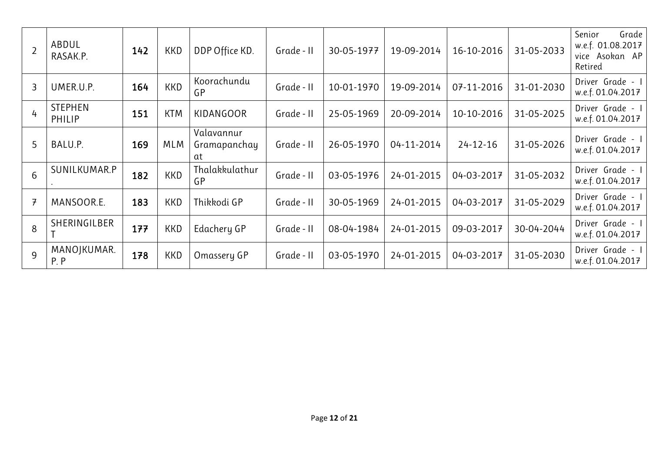| $\overline{2}$ | ABDUL<br>RASAK.P.        | 142 | <b>KKD</b> | DDP Office KD.                   | Grade - II | 30-05-1977 | 19-09-2014 | 16-10-2016     | 31-05-2033 | Senior<br>Grade<br>w.e.f. 01.08.2017<br>vice Asokan AP<br>Retired |
|----------------|--------------------------|-----|------------|----------------------------------|------------|------------|------------|----------------|------------|-------------------------------------------------------------------|
| 3              | UMER.U.P.                | 164 | <b>KKD</b> | Koorachundu<br>GP                | Grade - II | 10-01-1970 | 19-09-2014 | 07-11-2016     | 31-01-2030 | Driver Grade -<br>w.e.f. 01.04.2017                               |
| 4              | <b>STEPHEN</b><br>PHILIP | 151 | <b>KTM</b> | <b>KIDANGOOR</b>                 | Grade - II | 25-05-1969 | 20-09-2014 | 10-10-2016     | 31-05-2025 | Driver Grade - I<br>w.e.f. 01.04.2017                             |
| 5              | BALU.P.                  | 169 | MLM        | Valavannur<br>Gramapanchay<br>at | Grade - II | 26-05-1970 | 04-11-2014 | $24 - 12 - 16$ | 31-05-2026 | Driver Grade - I<br>w.e.f. 01.04.2017                             |
| 6              | SUNILKUMAR.P             | 182 | <b>KKD</b> | Thalakkulathur<br>GP             | Grade - II | 03-05-1976 | 24-01-2015 | 04-03-2017     | 31-05-2032 | Driver Grade -<br>w.e.f. 01.04.2017                               |
| $\overline{f}$ | MANSOOR.E.               | 183 | <b>KKD</b> | Thikkodi GP                      | Grade - II | 30-05-1969 | 24-01-2015 | 04-03-2017     | 31-05-2029 | Driver Grade -<br>w.e.f. 01.04.2017                               |
| 8              | SHERINGILBER             | 177 | <b>KKD</b> | Edachery GP                      | Grade - II | 08-04-1984 | 24-01-2015 | 09-03-2017     | 30-04-2044 | Driver Grade - I<br>w.e.f. 01.04.2017                             |
| $\mathsf{Q}$   | MANOJKUMAR.<br>P, P      | 178 | <b>KKD</b> | Omassery GP                      | Grade - II | 03-05-1970 | 24-01-2015 | 04-03-2017     | 31-05-2030 | Driver Grade - I<br>w.e.f. 01.04.2017                             |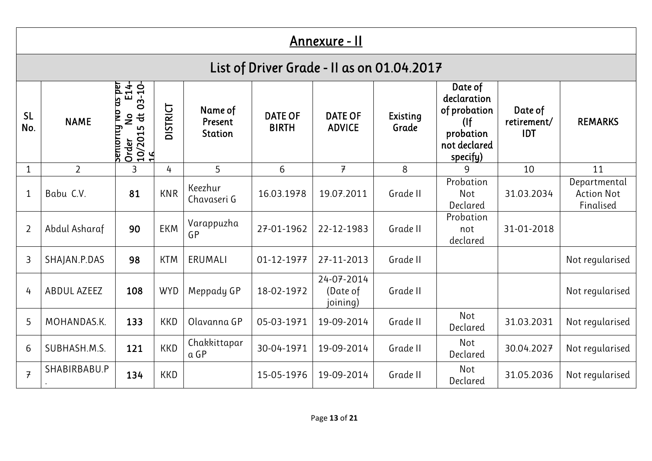## Annexure - II

# List of Driver Grade - II as on 01.04.2017

| <b>SL</b><br>No. | <b>NAME</b>    | as per<br>$E14$ -<br>03-10-<br>$\overline{a}$<br>$\ddot{\sigma}$<br>$\frac{1}{2}$<br>periority<br>LO<br>$\frac{10/201!}{16}$<br>Order | DISTRICT   | Name of<br>Present<br><b>Station</b> | <b>DATE OF</b><br><b>BIRTH</b> | <b>DATE OF</b><br><b>ADVICE</b>    | Existing<br>Grade | Date of<br>declaration<br>of probation<br>(<br>probation<br>not declared<br>specify) | Date of<br>retirement/<br><b>IDT</b> | <b>REMARKS</b>                                 |
|------------------|----------------|---------------------------------------------------------------------------------------------------------------------------------------|------------|--------------------------------------|--------------------------------|------------------------------------|-------------------|--------------------------------------------------------------------------------------|--------------------------------------|------------------------------------------------|
|                  | $\overline{2}$ | 3                                                                                                                                     | 4          | 5                                    | 6                              | $\overline{7}$                     | 8                 | 9                                                                                    | 10                                   | 11                                             |
| $\mathbf 1$      | Babu C.V.      | 81                                                                                                                                    | <b>KNR</b> | Keezhur<br>Chavaseri G               | 16.03.1978                     | 19.07.2011                         | Grade II          | Probation<br><b>Not</b><br>Declared                                                  | 31.03.2034                           | Departmental<br><b>Action Not</b><br>Finalised |
| $\overline{2}$   | Abdul Asharaf  | 90                                                                                                                                    | <b>EKM</b> | Varappuzha<br>GP                     | 27-01-1962                     | 22-12-1983                         | Grade II          | Probation<br>not<br>declared                                                         | 31-01-2018                           |                                                |
| $\overline{3}$   | SHAJAN.P.DAS   | 98                                                                                                                                    | <b>KTM</b> | ERUMALI                              | 01-12-1977                     | 27-11-2013                         | Grade II          |                                                                                      |                                      | Not regularised                                |
| $\frac{1}{4}$    | ABDUL AZEEZ    | 108                                                                                                                                   | <b>WYD</b> | Meppady GP                           | 18-02-1972                     | 24-07-2014<br>(Date of<br>joining) | Grade II          |                                                                                      |                                      | Not regularised                                |
| 5                | MOHANDAS.K.    | 133                                                                                                                                   | <b>KKD</b> | Olavanna GP                          | 05-03-1971                     | 19-09-2014                         | Grade II          | Not<br>Declared                                                                      | 31.03.2031                           | Not regularised                                |
| 6                | SUBHASH.M.S.   | 121                                                                                                                                   | <b>KKD</b> | Chakkittapar<br>a GP                 | 30-04-1971                     | 19-09-2014                         | Grade II          | Not<br>Declared                                                                      | 30.04.2027                           | Not regularised                                |
| $\overline{7}$   | SHABIRBABU.P   | 134                                                                                                                                   | <b>KKD</b> |                                      | 15-05-1976                     | 19-09-2014                         | Grade II          | Not<br>Declared                                                                      | 31.05.2036                           | Not regularised                                |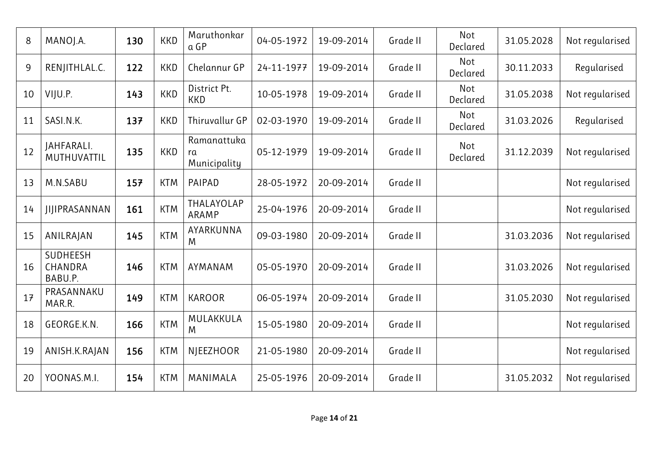| 8  | MANOJ.A.                       | 130 | <b>KKD</b> | Maruthonkar<br>a GP               | 04-05-1972 | 19-09-2014 | Grade II | Not<br>Declared | 31.05.2028 | Not regularised |
|----|--------------------------------|-----|------------|-----------------------------------|------------|------------|----------|-----------------|------------|-----------------|
| 9  | RENJITHLAL.C.                  | 122 | <b>KKD</b> | Chelannur GP                      | 24-11-1977 | 19-09-2014 | Grade II | Not<br>Declared | 30.11.2033 | Regularised     |
| 10 | VIJU.P.                        | 143 | <b>KKD</b> | District Pt.<br><b>KKD</b>        | 10-05-1978 | 19-09-2014 | Grade II | Not<br>Declared | 31.05.2038 | Not regularised |
| 11 | SASI.N.K.                      | 137 | <b>KKD</b> | Thiruvallur GP                    | 02-03-1970 | 19-09-2014 | Grade II | Not<br>Declared | 31.03.2026 | Regularised     |
| 12 | JAHFARALI.<br>MUTHUVATTIL      | 135 | <b>KKD</b> | Ramanattuka<br>ra<br>Municipality | 05-12-1979 | 19-09-2014 | Grade II | Not<br>Declared | 31.12.2039 | Not regularised |
| 13 | M.N.SABU                       | 157 | <b>KTM</b> | PAIPAD                            | 28-05-1972 | 20-09-2014 | Grade II |                 |            | Not regularised |
| 14 | <b>JIJIPRASANNAN</b>           | 161 | <b>KTM</b> | THALAYOLAP<br>ARAMP               | 25-04-1976 | 20-09-2014 | Grade II |                 |            | Not regularised |
| 15 | ANILRAJAN                      | 145 | <b>KTM</b> | AYARKUNNA<br>M                    | 09-03-1980 | 20-09-2014 | Grade II |                 | 31.03.2036 | Not regularised |
| 16 | SUDHEESH<br>CHANDRA<br>BABU.P. | 146 | <b>KTM</b> | AYMANAM                           | 05-05-1970 | 20-09-2014 | Grade II |                 | 31.03.2026 | Not regularised |
| 17 | PRASANNAKU<br>MAR.R.           | 149 | <b>KTM</b> | <b>KAROOR</b>                     | 06-05-1974 | 20-09-2014 | Grade II |                 | 31.05.2030 | Not regularised |
| 18 | GEORGE.K.N.                    | 166 | <b>KTM</b> | MULAKKULA<br>M                    | 15-05-1980 | 20-09-2014 | Grade II |                 |            | Not regularised |
| 19 | ANISH.K.RAJAN                  | 156 | <b>KTM</b> | <b>NJEEZHOOR</b>                  | 21-05-1980 | 20-09-2014 | Grade II |                 |            | Not regularised |
| 20 | YOONAS.M.I.                    | 154 | <b>KTM</b> | MANIMALA                          | 25-05-1976 | 20-09-2014 | Grade II |                 | 31.05.2032 | Not regularised |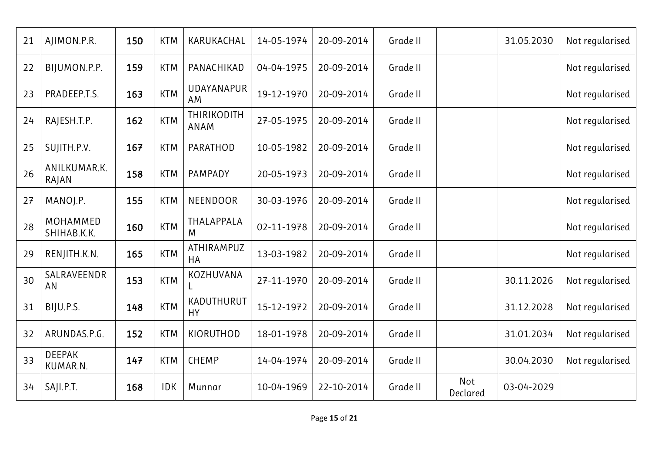| 21 | AJIMON.P.R.               | 150 | <b>KTM</b> | KARUKACHAL                 | 14-05-1974 | 20-09-2014 | Grade II |                 | 31.05.2030 | Not regularised |
|----|---------------------------|-----|------------|----------------------------|------------|------------|----------|-----------------|------------|-----------------|
| 22 | BIJUMON.P.P.              | 159 | <b>KTM</b> | PANACHIKAD                 | 04-04-1975 | 20-09-2014 | Grade II |                 |            | Not regularised |
| 23 | PRADEEP.T.S.              | 163 | <b>KTM</b> | UDAYANAPUR<br>AM           | 19-12-1970 | 20-09-2014 | Grade II |                 |            | Not regularised |
| 24 | RAJESH.T.P.               | 162 | <b>KTM</b> | <b>THIRIKODITH</b><br>ANAM | 27-05-1975 | 20-09-2014 | Grade II |                 |            | Not regularised |
| 25 | SUJITH.P.V.               | 167 | <b>KTM</b> | PARATHOD                   | 10-05-1982 | 20-09-2014 | Grade II |                 |            | Not regularised |
| 26 | ANILKUMAR.K.<br>RAJAN     | 158 | <b>KTM</b> | PAMPADY                    | 20-05-1973 | 20-09-2014 | Grade II |                 |            | Not regularised |
| 27 | MANOJ.P.                  | 155 | <b>KTM</b> | NEENDOOR                   | 30-03-1976 | 20-09-2014 | Grade II |                 |            | Not regularised |
| 28 | MOHAMMED<br>SHIHAB.K.K.   | 160 | <b>KTM</b> | THALAPPALA<br>M            | 02-11-1978 | 20-09-2014 | Grade II |                 |            | Not regularised |
| 29 | RENJITH.K.N.              | 165 | <b>KTM</b> | ATHIRAMPUZ<br><b>HA</b>    | 13-03-1982 | 20-09-2014 | Grade II |                 |            | Not regularised |
| 30 | SALRAVEENDR<br>AN         | 153 | <b>KTM</b> | KOZHUVANA<br>L.            | 27-11-1970 | 20-09-2014 | Grade II |                 | 30.11.2026 | Not regularised |
| 31 | BIJU.P.S.                 | 148 | <b>KTM</b> | KADUTHURUT<br><b>HY</b>    | 15-12-1972 | 20-09-2014 | Grade II |                 | 31.12.2028 | Not regularised |
| 32 | ARUNDAS.P.G.              | 152 | <b>KTM</b> | KIORUTHOD                  | 18-01-1978 | 20-09-2014 | Grade II |                 | 31.01.2034 | Not regularised |
| 33 | <b>DEEPAK</b><br>KUMAR.N. | 147 | <b>KTM</b> | <b>CHEMP</b>               | 14-04-1974 | 20-09-2014 | Grade II |                 | 30.04.2030 | Not regularised |
| 34 | SAJI.P.T.                 | 168 | <b>IDK</b> | Munnar                     | 10-04-1969 | 22-10-2014 | Grade II | Not<br>Declared | 03-04-2029 |                 |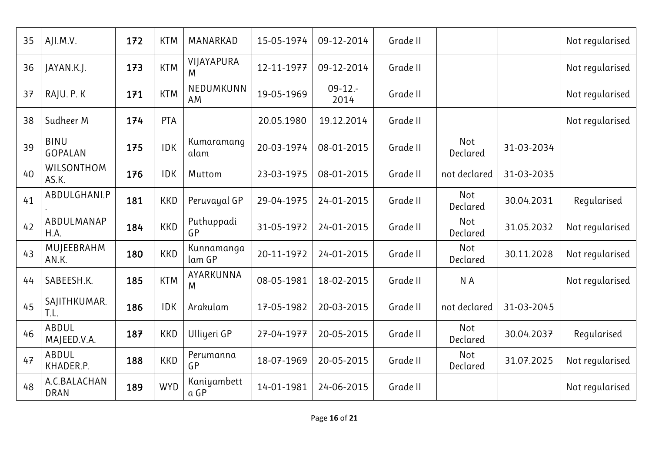| 35 | AJI.M.V.                    | 172 | <b>KTM</b> | MANARKAD             | 15-05-1974 | 09-12-2014         | Grade II |                 |            | Not regularised |
|----|-----------------------------|-----|------------|----------------------|------------|--------------------|----------|-----------------|------------|-----------------|
| 36 | JAYAN.K.J.                  | 173 | <b>KTM</b> | VIJAYAPURA<br>M      | 12-11-1977 | 09-12-2014         | Grade II |                 |            | Not regularised |
| 37 | RAJU. P. K                  | 171 | <b>KTM</b> | NEDUMKUNN<br>AM      | 19-05-1969 | $09-12. -$<br>2014 | Grade II |                 |            | Not regularised |
| 38 | Sudheer M                   | 174 | <b>PTA</b> |                      | 20.05.1980 | 19.12.2014         | Grade II |                 |            | Not regularised |
| 39 | <b>BINU</b><br>GOPALAN      | 175 | <b>IDK</b> | Kumaramang<br>alam   | 20-03-1974 | 08-01-2015         | Grade II | Not<br>Declared | 31-03-2034 |                 |
| 40 | WILSONTHOM<br>AS.K.         | 176 | <b>IDK</b> | Muttom               | 23-03-1975 | 08-01-2015         | Grade II | not declared    | 31-03-2035 |                 |
| 41 | ABDULGHANI.P                | 181 | <b>KKD</b> | Peruvayal GP         | 29-04-1975 | 24-01-2015         | Grade II | Not<br>Declared | 30.04.2031 | Regularised     |
| 42 | ABDULMANAP<br>H.A.          | 184 | <b>KKD</b> | Puthuppadi<br>GP     | 31-05-1972 | 24-01-2015         | Grade II | Not<br>Declared | 31.05.2032 | Not regularised |
| 43 | MUJEEBRAHM<br>AN.K.         | 180 | <b>KKD</b> | Kunnamanga<br>lam GP | 20-11-1972 | 24-01-2015         | Grade II | Not<br>Declared | 30.11.2028 | Not regularised |
| 44 | SABEESH.K.                  | 185 | <b>KTM</b> | AYARKUNNA<br>M       | 08-05-1981 | 18-02-2015         | Grade II | N A             |            | Not regularised |
| 45 | SAJITHKUMAR.<br>T.L.        | 186 | <b>IDK</b> | Arakulam             | 17-05-1982 | 20-03-2015         | Grade II | not declared    | 31-03-2045 |                 |
| 46 | ABDUL<br>MAJEED.V.A.        | 187 | <b>KKD</b> | Ulliyeri GP          | 27-04-1977 | 20-05-2015         | Grade II | Not<br>Declared | 30.04.2037 | Regularised     |
| 47 | ABDUL<br>KHADER.P.          | 188 | <b>KKD</b> | Perumanna<br>GP      | 18-07-1969 | 20-05-2015         | Grade II | Not<br>Declared | 31.07.2025 | Not regularised |
| 48 | A.C.BALACHAN<br><b>DRAN</b> | 189 | <b>WYD</b> | Kaniyambett<br>a GP  | 14-01-1981 | 24-06-2015         | Grade II |                 |            | Not regularised |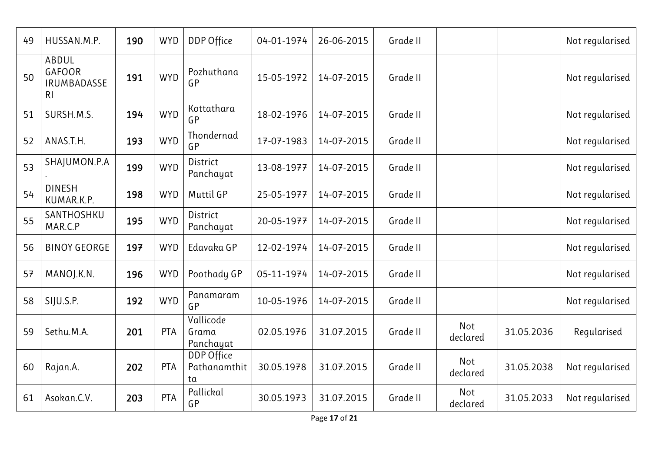| 49 | HUSSAN.M.P.                                                    | 190 | <b>WYD</b> | DDP Office                       | 04-01-1974 | 26-06-2015 | Grade II |                 |            | Not regularised |
|----|----------------------------------------------------------------|-----|------------|----------------------------------|------------|------------|----------|-----------------|------------|-----------------|
| 50 | ABDUL<br><b>GAFOOR</b><br><b>IRUMBADASSE</b><br>R <sub>l</sub> | 191 | <b>WYD</b> | Pozhuthana<br>GP                 | 15-05-1972 | 14-07-2015 | Grade II |                 |            | Not regularised |
| 51 | SURSH.M.S.                                                     | 194 | <b>WYD</b> | Kottathara<br>GP                 | 18-02-1976 | 14-07-2015 | Grade II |                 |            | Not regularised |
| 52 | ANAS.T.H.                                                      | 193 | <b>WYD</b> | Thondernad<br>GP                 | 17-07-1983 | 14-07-2015 | Grade II |                 |            | Not regularised |
| 53 | SHAJUMON.P.A                                                   | 199 | <b>WYD</b> | <b>District</b><br>Panchayat     | 13-08-1977 | 14-07-2015 | Grade II |                 |            | Not regularised |
| 54 | <b>DINESH</b><br>KUMAR.K.P.                                    | 198 | <b>WYD</b> | <b>Muttil GP</b>                 | 25-05-1977 | 14-07-2015 | Grade II |                 |            | Not regularised |
| 55 | SANTHOSHKU<br>MAR.C.P                                          | 195 | <b>WYD</b> | District<br>Panchayat            | 20-05-1977 | 14-07-2015 | Grade II |                 |            | Not regularised |
| 56 | <b>BINOY GEORGE</b>                                            | 197 | <b>WYD</b> | Edavaka GP                       | 12-02-1974 | 14-07-2015 | Grade II |                 |            | Not regularised |
| 57 | MANOJ.K.N.                                                     | 196 | <b>WYD</b> | Poothady GP                      | 05-11-1974 | 14-07-2015 | Grade II |                 |            | Not regularised |
| 58 | SIJU.S.P.                                                      | 192 | <b>WYD</b> | Panamaram<br>GP                  | 10-05-1976 | 14-07-2015 | Grade II |                 |            | Not regularised |
| 59 | Sethu.M.A.                                                     | 201 | <b>PTA</b> | Vallicode<br>Grama<br>Panchayat  | 02.05.1976 | 31.07.2015 | Grade II | Not<br>declared | 31.05.2036 | Regularised     |
| 60 | Rajan.A.                                                       | 202 | PTA        | DDP Office<br>Pathanamthit<br>ta | 30.05.1978 | 31.07.2015 | Grade II | Not<br>declared | 31.05.2038 | Not regularised |
| 61 | Asokan.C.V.                                                    | 203 | <b>PTA</b> | Pallickal<br>GP                  | 30.05.1973 | 31.07.2015 | Grade II | Not<br>declared | 31.05.2033 | Not regularised |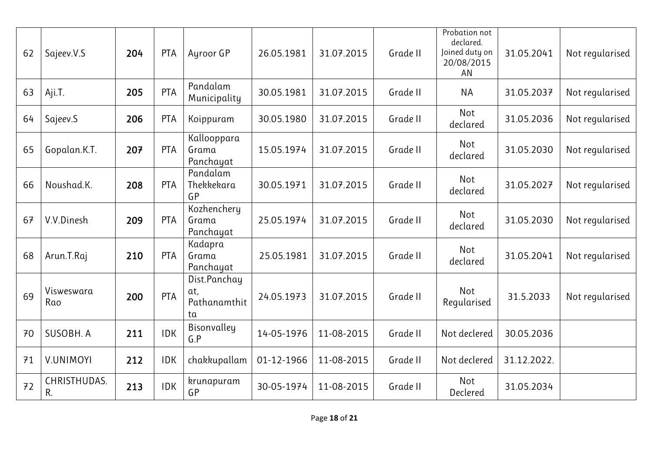| 62 | Sajeev.V.S         | 204 | <b>PTA</b> | Ayroor GP                                 | 26.05.1981 | 31.07.2015 | Grade II | Probation not<br>declared.<br>Joined duty on<br>20/08/2015<br>AN | 31.05.2041  | Not regularised |
|----|--------------------|-----|------------|-------------------------------------------|------------|------------|----------|------------------------------------------------------------------|-------------|-----------------|
| 63 | Aji.T.             | 205 | <b>PTA</b> | Pandalam<br>Municipality                  | 30.05.1981 | 31.07.2015 | Grade II | <b>NA</b>                                                        | 31.05.2037  | Not regularised |
| 64 | Sajeev.S           | 206 | <b>PTA</b> | Koippuram                                 | 30.05.1980 | 31.07.2015 | Grade II | Not<br>declared                                                  | 31.05.2036  | Not regularised |
| 65 | Gopalan.K.T.       | 207 | <b>PTA</b> | Kallooppara<br>Grama<br>Panchayat         | 15.05.1974 | 31.07.2015 | Grade II | Not<br>declared                                                  | 31.05.2030  | Not regularised |
| 66 | Noushad.K.         | 208 | <b>PTA</b> | Pandalam<br>Thekkekara<br>GP              | 30.05.1971 | 31.07.2015 | Grade II | Not<br>declared                                                  | 31.05.2027  | Not regularised |
| 67 | V.V.Dinesh         | 209 | <b>PTA</b> | Kozhenchery<br>Grama<br>Panchayat         | 25.05.1974 | 31.07.2015 | Grade II | Not<br>declared                                                  | 31.05.2030  | Not regularised |
| 68 | Arun.T.Raj         | 210 | <b>PTA</b> | Kadapra<br>Grama<br>Panchayat             | 25.05.1981 | 31.07.2015 | Grade II | Not<br>declared                                                  | 31.05.2041  | Not regularised |
| 69 | Visweswara<br>Rao  | 200 | <b>PTA</b> | Dist.Panchay<br>at,<br>Pathanamthit<br>ta | 24.05.1973 | 31.07.2015 | Grade II | Not<br>Regularised                                               | 31.5.2033   | Not regularised |
| 70 | SUSOBH. A          | 211 | <b>IDK</b> | Bisonvalley<br>G.P                        | 14-05-1976 | 11-08-2015 | Grade II | Not declered                                                     | 30.05.2036  |                 |
| 71 | <b>V.UNIMOYI</b>   | 212 | <b>IDK</b> | chakkupallam                              | 01-12-1966 | 11-08-2015 | Grade II | Not declered                                                     | 31.12.2022. |                 |
| 72 | CHRISTHUDAS.<br>R. | 213 | <b>IDK</b> | krunapuram<br>GP                          | 30-05-1974 | 11-08-2015 | Grade II | Not<br>Declered                                                  | 31.05.2034  |                 |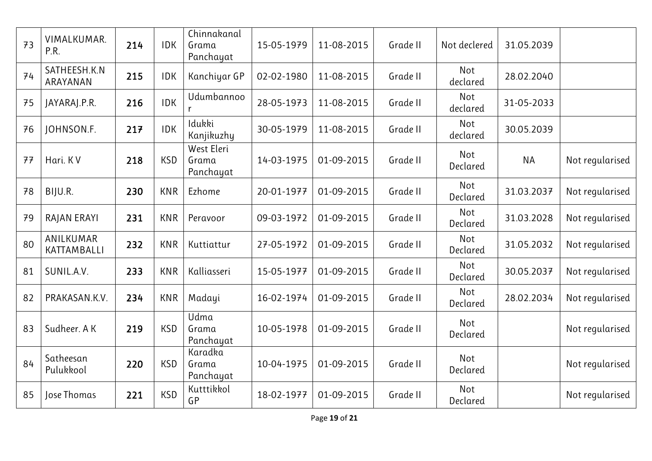| 73 | VIMALKUMAR.<br>P.R.      | 214 | <b>IDK</b> | Chinnakanal<br>Grama<br>Panchayat | 15-05-1979 | 11-08-2015 | Grade II | Not declered    | 31.05.2039 |                 |
|----|--------------------------|-----|------------|-----------------------------------|------------|------------|----------|-----------------|------------|-----------------|
| 74 | SATHEESH.K.N<br>ARAYANAN | 215 | <b>IDK</b> | Kanchiyar GP                      | 02-02-1980 | 11-08-2015 | Grade II | Not<br>declared | 28.02.2040 |                 |
| 75 | JAYARAJ.P.R.             | 216 | <b>IDK</b> | Udumbannoo<br>r                   | 28-05-1973 | 11-08-2015 | Grade II | Not<br>declared | 31-05-2033 |                 |
| 76 | JOHNSON.F.               | 217 | <b>IDK</b> | Idukki<br>Kanjikuzhy              | 30-05-1979 | 11-08-2015 | Grade II | Not<br>declared | 30.05.2039 |                 |
| 77 | Hari. KV                 | 218 | <b>KSD</b> | West Eleri<br>Grama<br>Panchayat  | 14-03-1975 | 01-09-2015 | Grade II | Not<br>Declared | <b>NA</b>  | Not regularised |
| 78 | BIJU.R.                  | 230 | <b>KNR</b> | Ezhome                            | 20-01-1977 | 01-09-2015 | Grade II | Not<br>Declared | 31.03.2037 | Not regularised |
| 79 | RAJAN ERAYI              | 231 | <b>KNR</b> | Peravoor                          | 09-03-1972 | 01-09-2015 | Grade II | Not<br>Declared | 31.03.2028 | Not regularised |
| 80 | ANILKUMAR<br>KATTAMBALLI | 232 | <b>KNR</b> | Kuttiattur                        | 27-05-1972 | 01-09-2015 | Grade II | Not<br>Declared | 31.05.2032 | Not regularised |
| 81 | SUNIL.A.V.               | 233 | <b>KNR</b> | Kalliasseri                       | 15-05-1977 | 01-09-2015 | Grade II | Not<br>Declared | 30.05.2037 | Not regularised |
| 82 | PRAKASAN.K.V.            | 234 | <b>KNR</b> | Madayi                            | 16-02-1974 | 01-09-2015 | Grade II | Not<br>Declared | 28.02.2034 | Not regularised |
| 83 | Sudheer. A K             | 219 | <b>KSD</b> | Udma<br>Grama<br>Panchayat        | 10-05-1978 | 01-09-2015 | Grade II | Not<br>Declared |            | Not regularised |
| 84 | Satheesan<br>Pulukkool   | 220 | <b>KSD</b> | Karadka<br>Grama<br>Panchayat     | 10-04-1975 | 01-09-2015 | Grade II | Not<br>Declared |            | Not regularised |
| 85 | Jose Thomas              | 221 | <b>KSD</b> | Kutttikkol<br>GP                  | 18-02-1977 | 01-09-2015 | Grade II | Not<br>Declared |            | Not regularised |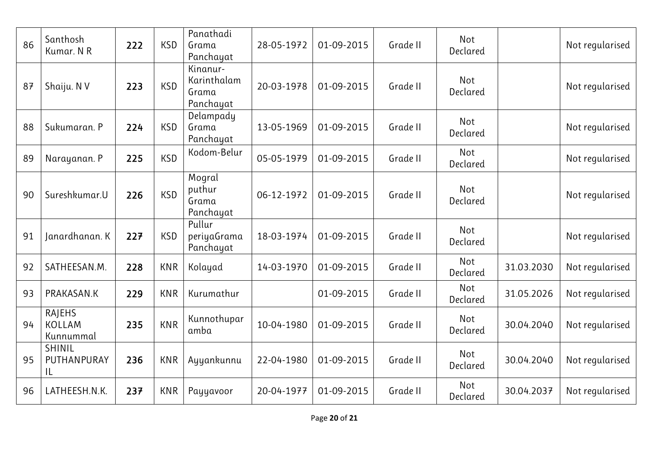| 86 | Santhosh<br>Kumar. N R                      | 222 | <b>KSD</b> | Panathadi<br>Grama<br>Panchayat               | 28-05-1972 | 01-09-2015 | Grade II | Not<br>Declared |            | Not regularised |
|----|---------------------------------------------|-----|------------|-----------------------------------------------|------------|------------|----------|-----------------|------------|-----------------|
| 87 | Shaiju. N V                                 | 223 | <b>KSD</b> | Kinanur-<br>Karinthalam<br>Grama<br>Panchayat | 20-03-1978 | 01-09-2015 | Grade II | Not<br>Declared |            | Not regularised |
| 88 | Sukumaran. P                                | 224 | <b>KSD</b> | Delampady<br>Grama<br>Panchayat               | 13-05-1969 | 01-09-2015 | Grade II | Not<br>Declared |            | Not regularised |
| 89 | Narayanan. P                                | 225 | <b>KSD</b> | Kodom-Belur                                   | 05-05-1979 | 01-09-2015 | Grade II | Not<br>Declared |            | Not regularised |
| 90 | Sureshkumar.U                               | 226 | <b>KSD</b> | Mogral<br>puthur<br>Grama<br>Panchayat        | 06-12-1972 | 01-09-2015 | Grade II | Not<br>Declared |            | Not regularised |
| 91 | Janardhanan. K                              | 227 | <b>KSD</b> | Pullur<br>periyaGrama<br>Panchayat            | 18-03-1974 | 01-09-2015 | Grade II | Not<br>Declared |            | Not regularised |
| 92 | SATHEESAN.M.                                | 228 | <b>KNR</b> | Kolayad                                       | 14-03-1970 | 01-09-2015 | Grade II | Not<br>Declared | 31.03.2030 | Not regularised |
| 93 | PRAKASAN.K                                  | 229 | <b>KNR</b> | Kurumathur                                    |            | 01-09-2015 | Grade II | Not<br>Declared | 31.05.2026 | Not regularised |
| 94 | <b>RAJEHS</b><br><b>KOLLAM</b><br>Kunnummal | 235 | <b>KNR</b> | Kunnothupar<br>amba                           | 10-04-1980 | 01-09-2015 | Grade II | Not<br>Declared | 30.04.2040 | Not regularised |
| 95 | SHINIL<br>PUTHANPURAY<br>IL                 | 236 | <b>KNR</b> | Ayyankunnu                                    | 22-04-1980 | 01-09-2015 | Grade II | Not<br>Declared | 30.04.2040 | Not regularised |
| 96 | LATHEESH.N.K.                               | 237 | <b>KNR</b> | Payyavoor                                     | 20-04-1977 | 01-09-2015 | Grade II | Not<br>Declared | 30.04.2037 | Not regularised |